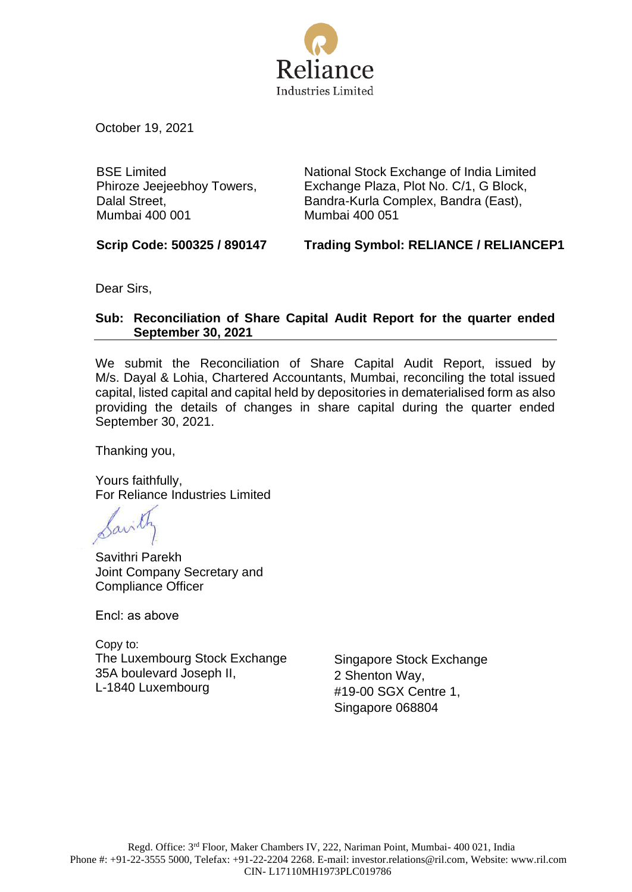

October 19, 2021

BSE Limited Phiroze Jeejeebhoy Towers, Dalal Street, Mumbai 400 001

National Stock Exchange of India Limited Exchange Plaza, Plot No. C/1, G Block, Bandra-Kurla Complex, Bandra (East), Mumbai 400 051

**Scrip Code: 500325 / 890147 Trading Symbol: RELIANCE / RELIANCEP1**

Dear Sirs,

# **Sub: Reconciliation of Share Capital Audit Report for the quarter ended September 30, 2021**

We submit the Reconciliation of Share Capital Audit Report, issued by M/s. Dayal & Lohia, Chartered Accountants, Mumbai, reconciling the total issued capital, listed capital and capital held by depositories in dematerialised form as also providing the details of changes in share capital during the quarter ended September 30, 2021.

Thanking you,

Yours faithfully, For Reliance Industries Limited

Savithri Parekh Joint Company Secretary and Compliance Officer

Encl: as above

Copy to: The Luxembourg Stock Exchange 35A boulevard Joseph II, L-1840 Luxembourg

Singapore Stock Exchange 2 Shenton Way, #19-00 SGX Centre 1, Singapore 068804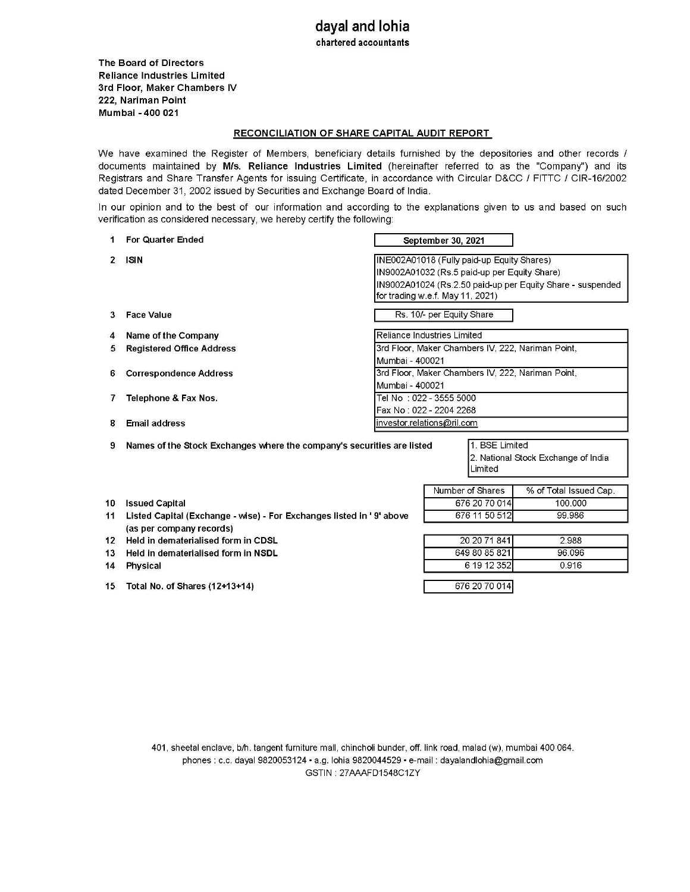## **dayal and lohia**  chartered accountants

The Board of Directors Reliance Industries Limited 3rd Floor, Maker Chambers IV 222, Nariman Point Mumbai -400 021

#### RECONCILIATION OF SHARE CAPITAL AUDIT REPORT

We have examined the Register of Members, beneficiary details furnished by the depositories and other records / documents maintained by M/s. Reliance Industries Limited (hereinafter referred to as the "Company") and its Registrars and Share Transfer Agents for issuing Certificate, in accordance with Circular D&CC / FITTC / CIR-16/2002 dated December 31, 2002 issued by Securities and Exchange Board of India.

In our opinion and to the best of our information and according to the explanations given to us and based on such verification as considered necessary, we hereby certify the following:

| 1.              | For Quarter Ended                                                                                                                                                                                       | September 30, 2021                                                                                                                                                                           |                         |                        |  |  |
|-----------------|---------------------------------------------------------------------------------------------------------------------------------------------------------------------------------------------------------|----------------------------------------------------------------------------------------------------------------------------------------------------------------------------------------------|-------------------------|------------------------|--|--|
| 2               | <b>ISIN</b>                                                                                                                                                                                             | INE002A01018 (Fully paid-up Equity Shares)<br>IN9002A01032 (Rs.5 paid-up per Equity Share)<br>IN9002A01024 (Rs.2.50 paid-up per Equity Share - suspended<br>for trading w.e.f. May 11, 2021) |                         |                        |  |  |
| 3.              | <b>Face Value</b>                                                                                                                                                                                       | Rs. 10/- per Equity Share                                                                                                                                                                    |                         |                        |  |  |
| 4               | Name of the Company                                                                                                                                                                                     | Reliance Industries Limited                                                                                                                                                                  |                         |                        |  |  |
| 5.              | <b>Registered Office Address</b>                                                                                                                                                                        | 3rd Floor, Maker Chambers IV, 222, Nariman Point,<br>Mumbai - 400021                                                                                                                         |                         |                        |  |  |
| 6.              | <b>Correspondence Address</b>                                                                                                                                                                           | 3rd Floor, Maker Chambers IV, 222, Nariman Point,<br>Mumbai - 400021                                                                                                                         |                         |                        |  |  |
| 7               | Telephone & Fax Nos.                                                                                                                                                                                    | Tel No : 022 - 3555 5000<br>Fax No: 022 - 2204 2268                                                                                                                                          |                         |                        |  |  |
| 8               | <b>Email address</b>                                                                                                                                                                                    | investor.relations@ril.com                                                                                                                                                                   |                         |                        |  |  |
| 9               | 1. BSE Limited<br>Names of the Stock Exchanges where the company's securities are listed<br>2. National Stock Exchange of India<br>Limited                                                              |                                                                                                                                                                                              |                         |                        |  |  |
|                 |                                                                                                                                                                                                         |                                                                                                                                                                                              | Number of Shares        | % of Total Issued Cap. |  |  |
| 10 <sup>1</sup> | <b>Issued Capital</b><br>Listed Capital (Exchange - wise) - For Exchanges listed in '9' above<br>(as per company records)<br>Held in dematerialised form in CDSL<br>Held in dematerialised form in NSDL |                                                                                                                                                                                              | 676 20 70 014           | 100.000                |  |  |
| 11              |                                                                                                                                                                                                         |                                                                                                                                                                                              | 676 11 50 512           | 99.986                 |  |  |
| 12              |                                                                                                                                                                                                         |                                                                                                                                                                                              | 20 20 71 841<br>2.988   |                        |  |  |
| 13              |                                                                                                                                                                                                         |                                                                                                                                                                                              | 649 80 85 821<br>96.096 |                        |  |  |
| 14              | <b>Physical</b>                                                                                                                                                                                         |                                                                                                                                                                                              | 6 19 12 352             | 0.916                  |  |  |
| 15              | Total No. of Shares (12+13+14)                                                                                                                                                                          |                                                                                                                                                                                              | 676 20 70 014           |                        |  |  |

401, sheetal enclave, blh. tangent furniture mall, chincholi bunder, off. link road, malad (w), mumbai 400 064. phones : c.c. dayal 9820053124 • a.g. lohia 9820044529 • e-mail : dayalandlohia@gmail.com GSTIN: 27AAAFD1548C1ZY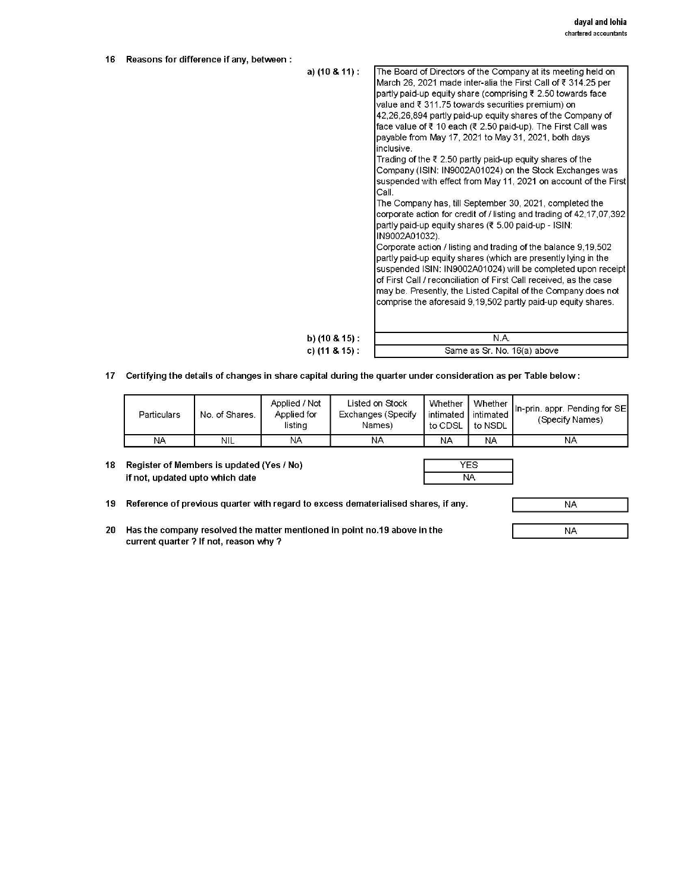| 16 | Reasons for difference if any, between: |                      |                                                                                                                                                                                                                                                                                                                                                                                                                                                                                                                                                                                                                                                                                                                                                                                                                                                                                                                                                                                                                                                                                                                                                                                                                                                                                                                       |
|----|-----------------------------------------|----------------------|-----------------------------------------------------------------------------------------------------------------------------------------------------------------------------------------------------------------------------------------------------------------------------------------------------------------------------------------------------------------------------------------------------------------------------------------------------------------------------------------------------------------------------------------------------------------------------------------------------------------------------------------------------------------------------------------------------------------------------------------------------------------------------------------------------------------------------------------------------------------------------------------------------------------------------------------------------------------------------------------------------------------------------------------------------------------------------------------------------------------------------------------------------------------------------------------------------------------------------------------------------------------------------------------------------------------------|
|    |                                         | a) $(10 \& 11)$ :    | The Board of Directors of the Company at its meeting held on<br>March 26, 2021 made inter-alia the First Call of ₹ 314.25 per<br>partly paid-up equity share (comprising ₹ 2.50 towards face<br>value and ₹ 311.75 towards securities premium) on<br>42,26,26,894 partly paid-up equity shares of the Company of<br>face value of $\bar{\tau}$ 10 each ( $\bar{\tau}$ 2.50 paid-up). The First Call was<br>payable from May 17, 2021 to May 31, 2021, both days<br>inclusive.<br>Trading of the $\bar{\tau}$ 2.50 partly paid-up equity shares of the<br>Company (ISIN: IN9002A01024) on the Stock Exchanges was<br>suspended with effect from May 11, 2021 on account of the First<br>Call.<br>The Company has, till September 30, 2021, completed the<br>corporate action for credit of / listing and trading of 42,17,07,392<br>partly paid-up equity shares (₹ 5.00 paid-up - ISIN:<br>IN9002A01032).<br>Corporate action / listing and trading of the balance 9,19,502<br>partly paid-up equity shares (which are presently lying in the<br>suspended ISIN: IN9002A01024) will be completed upon receipt<br>of First Call / reconciliation of First Call received, as the case<br>may be. Presently, the Listed Capital of the Company does not<br>comprise the aforesaid 9,19,502 partly paid-up equity shares. |
|    |                                         | b) $(10 \& 15)$ :    | N.A.                                                                                                                                                                                                                                                                                                                                                                                                                                                                                                                                                                                                                                                                                                                                                                                                                                                                                                                                                                                                                                                                                                                                                                                                                                                                                                                  |
|    |                                         | c) $(11 & 8 & 15)$ : | Same as Sr. No. 16(a) above                                                                                                                                                                                                                                                                                                                                                                                                                                                                                                                                                                                                                                                                                                                                                                                                                                                                                                                                                                                                                                                                                                                                                                                                                                                                                           |

17 Certifying the details of changes in share capital during the quarter under consideration as per Table below:

| Particulars | No. of Shares. | Applied / Not<br>Applied for<br>listing | Listed on Stock<br>Exchanges (Specify<br>Names) | Whether<br>intimated<br>to CDSL | intimated.<br>to NSDL | $\left  \right $ Whether $\left $ In-prin. appr. Pending for SE<br>(Specify Names) |
|-------------|----------------|-----------------------------------------|-------------------------------------------------|---------------------------------|-----------------------|------------------------------------------------------------------------------------|
| NA          | <b>NIL</b>     | NA                                      | NA                                              | NA                              | <b>NA</b>             | NA                                                                                 |

18 Register of Members is updated (Yes / No) if not, updated upto which date

| NA |
|----|

19 Reference of previous quarter with regard to excess dematerialised shares, if any.

20 Has the company resolved the matter mentioned in point no.19 above in the current quarter? If not, reason why?

NA

NA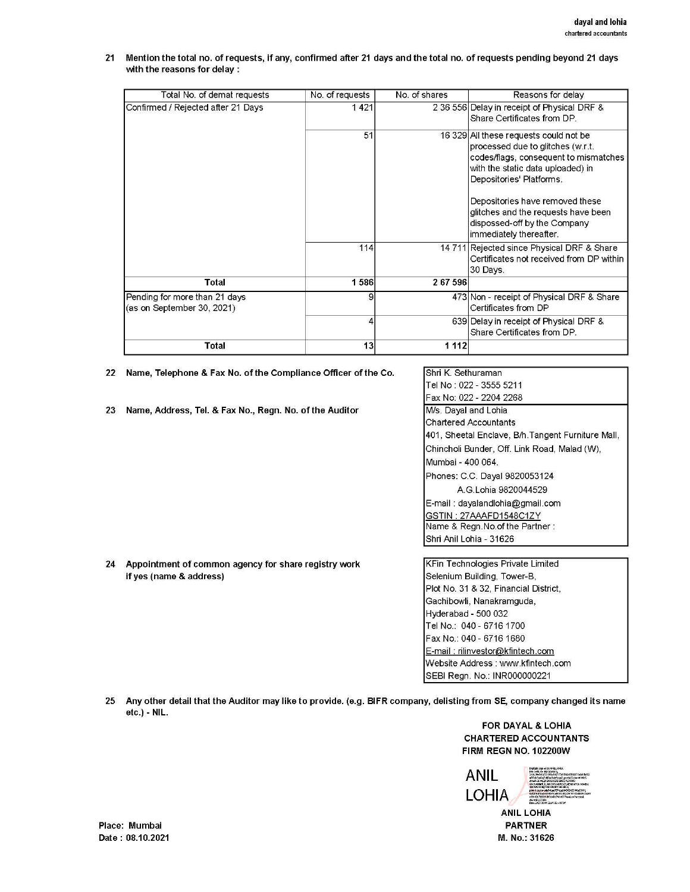21 Mention the total no. of requests, if any, confirmed after 21 days and the total no. of requests pending beyond 21 days with the reasons for delay :

| Total No. of demat requests                                 | No. of requests | No. of shares | Reasons for delay                                                                                                                                                                                                                                                                                                          |
|-------------------------------------------------------------|-----------------|---------------|----------------------------------------------------------------------------------------------------------------------------------------------------------------------------------------------------------------------------------------------------------------------------------------------------------------------------|
| Confirmed / Rejected after 21 Days                          | 1421            |               | 2 36 556 Delay in receipt of Physical DRF &<br>Share Certificates from DP.                                                                                                                                                                                                                                                 |
|                                                             | 51              |               | 16 329 All these requests could not be<br>processed due to glitches (w.r.t.<br>codes/flags, consequent to mismatches<br>with the static data uploaded) in<br>Depositories' Platforms.<br>Depositories have removed these<br>glitches and the requests have been<br>dispossed-off by the Company<br>immediately thereafter. |
|                                                             | 114             |               | 14 711 Rejected since Physical DRF & Share<br>Certificates not received from DP within<br>30 Days.                                                                                                                                                                                                                         |
| Total                                                       | 1586            | 267596        |                                                                                                                                                                                                                                                                                                                            |
| Pending for more than 21 days<br>(as on September 30, 2021) | 9               |               | 473 Non - receipt of Physical DRF & Share<br>Certificates from DP                                                                                                                                                                                                                                                          |
|                                                             | 4               |               | 639 Delay in receipt of Physical DRF &<br>Share Certificates from DP.                                                                                                                                                                                                                                                      |
| Total                                                       | 13              | 1 1 1 2       |                                                                                                                                                                                                                                                                                                                            |

22 Name, Telephone & Fax No. of the Compliance Officer of the Co.

23 Name, Address, Tel. & Fax No., Regn. No. of the Auditor

| İShri K. Sethuraman                                |
|----------------------------------------------------|
| Tel No : 022 - 3555 5211                           |
| Fax No: 022 - 2204 2268                            |
| M/s. Dayal and Lohia                               |
| Chartered Accountants                              |
| 401, Sheetal Enclave, B/h. Tangent Furniture Mall, |
| Chincholi Bunder, Off. Link Road, Malad (W),       |
| Mumbai - 400 064.                                  |
| Phones: C.C. Dayal 9820053124                      |
| A G Lohia 9820044529                               |
| E-mail: dayalandlohia@gmail.com                    |
| GSTIN : 27AAAFD1548C1ZY                            |
| Name & Regn.No.of the Partner:                     |
| Shri Anil Lohia - 31626                            |

- 24 Appointment of common agency for share registry work if yes (name & address)
- KFin Technologies Private Limited Selenium Building, Tower-B. Plot No. 31 & 32, Financial District, Gachibowli, Nanakramguda, Hyderabad - 500 032 Tel No.: 040- 6716 1700 Fax No.: 040 - 6716 1680 E-mail : rilinvestor@kfintech.com Website Address: www.kfintech.com SEBI Regn. No.: INR000000221
- 25 Any other detail that the Auditor may like to provide. (e.g. BIFR company, delisting from SE, company changed its name etc.)- NIL.

#### FOR DAYAL & LOHIA CHARTERED ACCOUNTANTS FIRM REGN NO. 102200W



ANIL LOHIA PARTNER M. No.: 31626

Place: Mumbai Date: 08.10.2021